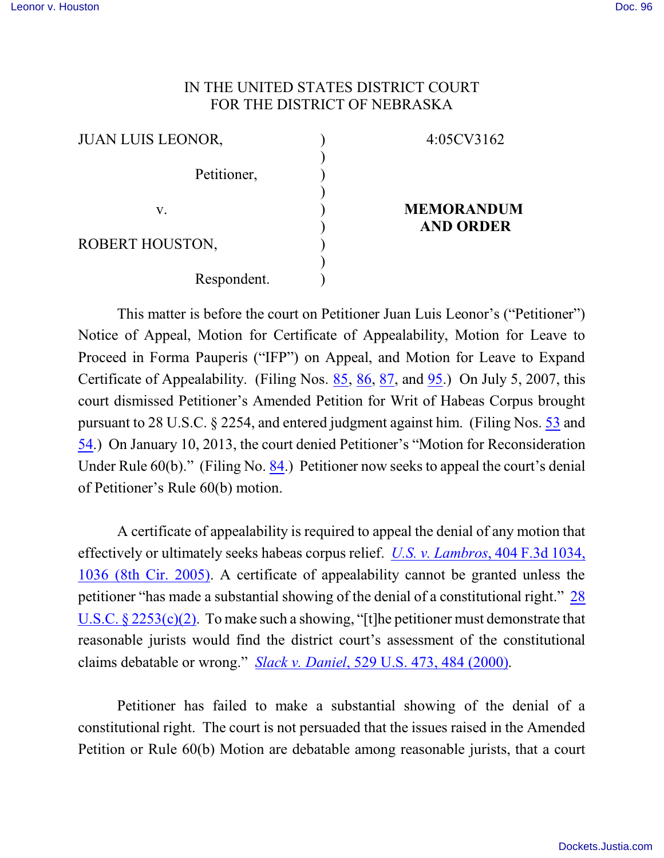## IN THE UNITED STATES DISTRICT COURT FOR THE DISTRICT OF NEBRASKA

| <b>JUAN LUIS LEONOR,</b> | 4:05CV3162                            |
|--------------------------|---------------------------------------|
| Petitioner,              |                                       |
| V.                       | <b>MEMORANDUM</b><br><b>AND ORDER</b> |
| ROBERT HOUSTON,          |                                       |
| Respondent.              |                                       |

This matter is before the court on Petitioner Juan Luis Leonor's ("Petitioner") Notice of Appeal, Motion for Certificate of Appealability, Motion for Leave to Proceed in Forma Pauperis ("IFP") on Appeal, and Motion for Leave to Expand Certificate of Appealability. (Filing Nos. [85](https://ecf.ned.uscourts.gov/doc1/11302707943), [86](https://ecf.ned.uscourts.gov/doc1/11312708054), [87](https://ecf.ned.uscourts.gov/doc1/11312708064), and [95](https://ecf.ned.uscourts.gov/doc1/11312750843).) On July 5, 2007, this court dismissed Petitioner's Amended Petition for Writ of Habeas Corpus brought pursuant to 28 U.S.C. § 2254, and entered judgment against him. (Filing Nos. [53](https://ecf.ned.uscourts.gov/doc1/1131612100) and [54](https://ecf.ned.uscourts.gov/doc1/1131609985).) On January 10, 2013, the court denied Petitioner's "Motion for Reconsideration Under Rule 60(b)." (Filing No. [84](http://ecf.ned.uscourts.gov/doc1/11302689473).) Petitioner now seeks to appeal the court's denial of Petitioner's Rule 60(b) motion.

A certificate of appealability is required to appeal the denial of any motion that effectively or ultimately seeks habeas corpus relief. *U.S. v. Lambros*[, 404 F.3d 1034,](http://web2.westlaw.com/find/default.wl?mt=EighthCircuit&db=506&rs=WLW13.01&tc=-1&rp=%2ffind%2fdefault.wl&findtype=Y&ordoc=2029092149&serialnum=2006451291&vr=2.0&fn=_top&sv=Split&tf=-1&referencepositiontype=S&pbc=BA0BC36D&referenceposition=1036&utid=2&RL) 1036 [\(8th Cir. 2005\)](http://web2.westlaw.com/find/default.wl?mt=EighthCircuit&db=506&rs=WLW13.01&tc=-1&rp=%2ffind%2fdefault.wl&findtype=Y&ordoc=2029092149&serialnum=2006451291&vr=2.0&fn=_top&sv=Split&tf=-1&referencepositiontype=S&pbc=BA0BC36D&referenceposition=1036&utid=2&RL). A certificate of appealability cannot be granted unless the petitioner "has made a substantial showing of the denial of a constitutional right." [28](http://www.westlaw.com/find/default.wl?rs=CLWP3.0&vr=2.0&cite=28+USCA+s+2253%28c%29%282%29) U.S.C.  $\S 2253(c)(2)$ . To make such a showing, "[t]he petitioner must demonstrate that reasonable jurists would find the district court's assessment of the constitutional claims debatable or wrong." *Slack v. Daniel*[, 529 U.S. 473, 484 \(2000\)](http://www.westlaw.com/find/default.wl?rs=CLWP3.0&vr=2.0&cite=529+U.S.+473).

Petitioner has failed to make a substantial showing of the denial of a constitutional right. The court is not persuaded that the issues raised in the Amended Petition or Rule 60(b) Motion are debatable among reasonable jurists, that a court